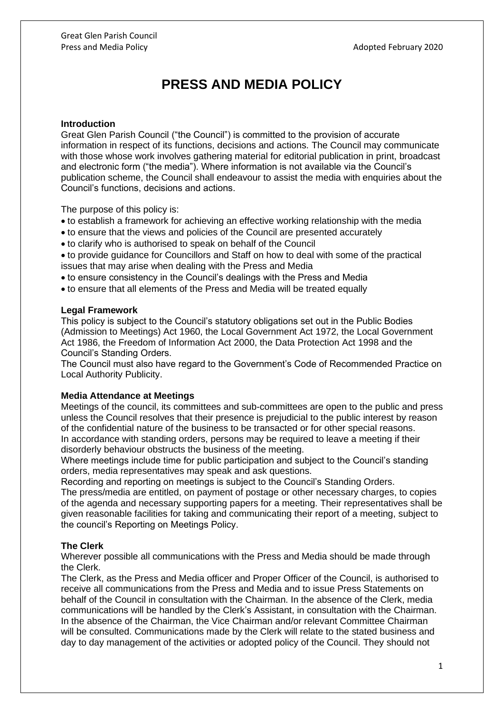# **PRESS AND MEDIA POLICY**

#### **Introduction**

Great Glen Parish Council ("the Council") is committed to the provision of accurate information in respect of its functions, decisions and actions. The Council may communicate with those whose work involves gathering material for editorial publication in print, broadcast and electronic form ("the media"). Where information is not available via the Council's publication scheme, the Council shall endeavour to assist the media with enquiries about the Council's functions, decisions and actions.

The purpose of this policy is:

- to establish a framework for achieving an effective working relationship with the media
- to ensure that the views and policies of the Council are presented accurately
- to clarify who is authorised to speak on behalf of the Council
- to provide guidance for Councillors and Staff on how to deal with some of the practical issues that may arise when dealing with the Press and Media
- to ensure consistency in the Council's dealings with the Press and Media
- to ensure that all elements of the Press and Media will be treated equally

#### **Legal Framework**

This policy is subject to the Council's statutory obligations set out in the Public Bodies (Admission to Meetings) Act 1960, the Local Government Act 1972, the Local Government Act 1986, the Freedom of Information Act 2000, the Data Protection Act 1998 and the Council's Standing Orders.

The Council must also have regard to the Government's Code of Recommended Practice on Local Authority Publicity.

#### **Media Attendance at Meetings**

Meetings of the council, its committees and sub-committees are open to the public and press unless the Council resolves that their presence is prejudicial to the public interest by reason of the confidential nature of the business to be transacted or for other special reasons. In accordance with standing orders, persons may be required to leave a meeting if their disorderly behaviour obstructs the business of the meeting.

Where meetings include time for public participation and subject to the Council's standing orders, media representatives may speak and ask questions.

Recording and reporting on meetings is subject to the Council's Standing Orders.

The press/media are entitled, on payment of postage or other necessary charges, to copies of the agenda and necessary supporting papers for a meeting. Their representatives shall be given reasonable facilities for taking and communicating their report of a meeting, subject to the council's Reporting on Meetings Policy.

### **The Clerk**

Wherever possible all communications with the Press and Media should be made through the Clerk.

The Clerk, as the Press and Media officer and Proper Officer of the Council, is authorised to receive all communications from the Press and Media and to issue Press Statements on behalf of the Council in consultation with the Chairman. In the absence of the Clerk, media communications will be handled by the Clerk's Assistant, in consultation with the Chairman. In the absence of the Chairman, the Vice Chairman and/or relevant Committee Chairman will be consulted. Communications made by the Clerk will relate to the stated business and day to day management of the activities or adopted policy of the Council. They should not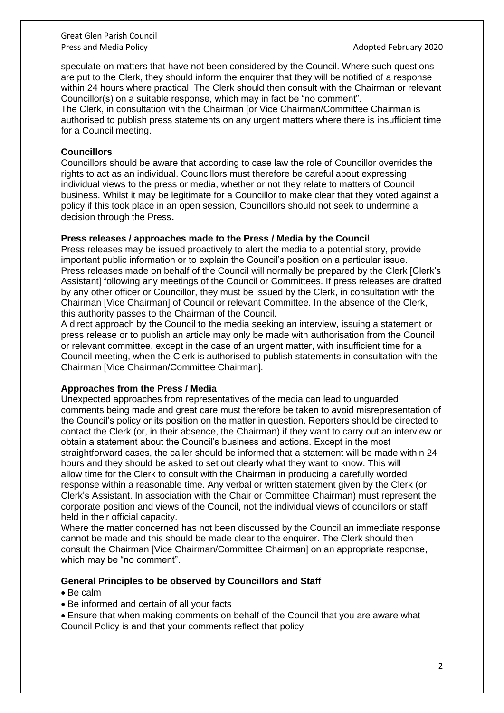Great Glen Parish Council Press and Media Policy **Adopted February 2020** 

speculate on matters that have not been considered by the Council. Where such questions are put to the Clerk, they should inform the enquirer that they will be notified of a response within 24 hours where practical. The Clerk should then consult with the Chairman or relevant Councillor(s) on a suitable response, which may in fact be "no comment".

The Clerk, in consultation with the Chairman [or Vice Chairman/Committee Chairman is authorised to publish press statements on any urgent matters where there is insufficient time for a Council meeting.

### **Councillors**

Councillors should be aware that according to case law the role of Councillor overrides the rights to act as an individual. Councillors must therefore be careful about expressing individual views to the press or media, whether or not they relate to matters of Council business. Whilst it may be legitimate for a Councillor to make clear that they voted against a policy if this took place in an open session, Councillors should not seek to undermine a decision through the Press.

## **Press releases / approaches made to the Press / Media by the Council**

Press releases may be issued proactively to alert the media to a potential story, provide important public information or to explain the Council's position on a particular issue. Press releases made on behalf of the Council will normally be prepared by the Clerk [Clerk's Assistant] following any meetings of the Council or Committees. If press releases are drafted by any other officer or Councillor, they must be issued by the Clerk, in consultation with the Chairman [Vice Chairman] of Council or relevant Committee. In the absence of the Clerk, this authority passes to the Chairman of the Council.

A direct approach by the Council to the media seeking an interview, issuing a statement or press release or to publish an article may only be made with authorisation from the Council or relevant committee, except in the case of an urgent matter, with insufficient time for a Council meeting, when the Clerk is authorised to publish statements in consultation with the Chairman [Vice Chairman/Committee Chairman].

## **Approaches from the Press / Media**

Unexpected approaches from representatives of the media can lead to unguarded comments being made and great care must therefore be taken to avoid misrepresentation of the Council's policy or its position on the matter in question. Reporters should be directed to contact the Clerk (or, in their absence, the Chairman) if they want to carry out an interview or obtain a statement about the Council's business and actions. Except in the most straightforward cases, the caller should be informed that a statement will be made within 24 hours and they should be asked to set out clearly what they want to know. This will allow time for the Clerk to consult with the Chairman in producing a carefully worded response within a reasonable time. Any verbal or written statement given by the Clerk (or Clerk's Assistant. In association with the Chair or Committee Chairman) must represent the corporate position and views of the Council, not the individual views of councillors or staff held in their official capacity.

Where the matter concerned has not been discussed by the Council an immediate response cannot be made and this should be made clear to the enquirer. The Clerk should then consult the Chairman [Vice Chairman/Committee Chairman] on an appropriate response, which may be "no comment".

### **General Principles to be observed by Councillors and Staff**

- Be calm
- Be informed and certain of all your facts

• Ensure that when making comments on behalf of the Council that you are aware what Council Policy is and that your comments reflect that policy